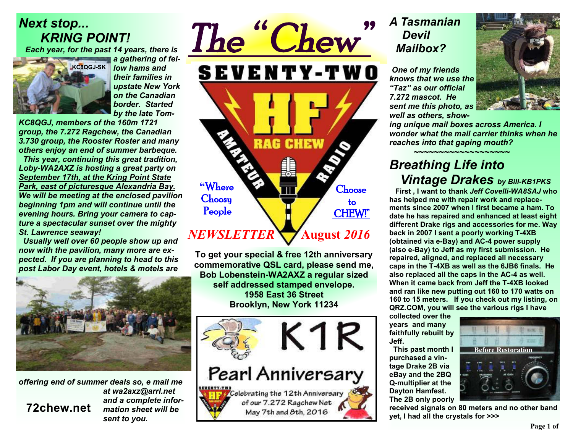## *Next stop... KRING POINT!*

*Each year, for the past 14 years, there is* 



*a gathering of fellow hams and their families in upstate New York on the Canadian border. Started by the late Tom-*

*KC8QGJ, members of the 160m 1721 group, the 7.272 Ragchew, the Canadian 3.730 group, the Rooster Roster and many others enjoy an end of summer barbeque.* 

 *This year, continuing this great tradition, Loby-WA2AXZ is hosting a great party on September 17th, at the Kring Point State Park, east of picturesque Alexandria Bay. We will be meeting at the enclosed pavilion beginning 1pm and will continue until the evening hours. Bring your camera to capture a spectacular sunset over the mighty St. Lawrence seaway!* 

 *Usually well over 60 people show up and now with the pavilion, many more are expected. If you are planning to head to this post Labor Day event, hotels & motels are* 



*offering end of summer deals so, e mail me at wa2axz@arrl.net and a complete information sheet will be sent to you.*  **72chew.net**

*The " Chew"*  **SEVENTY-TWO** RAG **CHEW "**Where Choose **Choosy**  to People CHEW!" *NEWSLETTER*   **August** *2016* 

**To get your special & free 12th anniversary commemorative QSL card, please send me, Bob Lobenstein-WA2AXZ a regular sized self addressed stamped envelope. 1958 East 36 Street Brooklyn, New York 11234** 



### *A Tasmanian Devil Mailbox?*

*One of my friends knows that we use the "Taz" as our official 7.272 mascot. He sent me this photo, as well as others, show-*



*ing unique mail boxes across America. I wonder what the mail carrier thinks when he reaches into that gaping mouth?*

#### *~~~~~~~~~~~~~~~~~~~ Breathing Life into Vintage Drakes by Bill-KB1PKS*

 **First , I want to thank** *Jeff Covelli-WA8SAJ* **who has helped me with repair work and replacements since 2007 when I first became a ham. To date he has repaired and enhanced at least eight different Drake rigs and accessories for me. Way back in 2007 I sent a poorly working T-4XB (obtained via e-Bay) and AC-4 power supply (also e-Bay) to Jeff as my first submission. He repaired, aligned, and replaced all necessary caps in the T-4XB as well as the 6JB6 finals. He also replaced all the caps in the AC-4 as well. When it came back from Jeff the T-4XB looked and ran like new putting out 160 to 170 watts on 160 to 15 meters. If you check out my listing, on QRZ.COM, you will see the various rigs I have** 

**collected over the years and many faithfully rebuilt by Jeff.** 

 **This past month I purchased a vintage Drake 2B via eBay and the 2BQ Q-multiplier at the Dayton Hamfest. The 2B only poorly** 



**received signals on 80 meters and no other band yet, I had all the crystals for >>>**